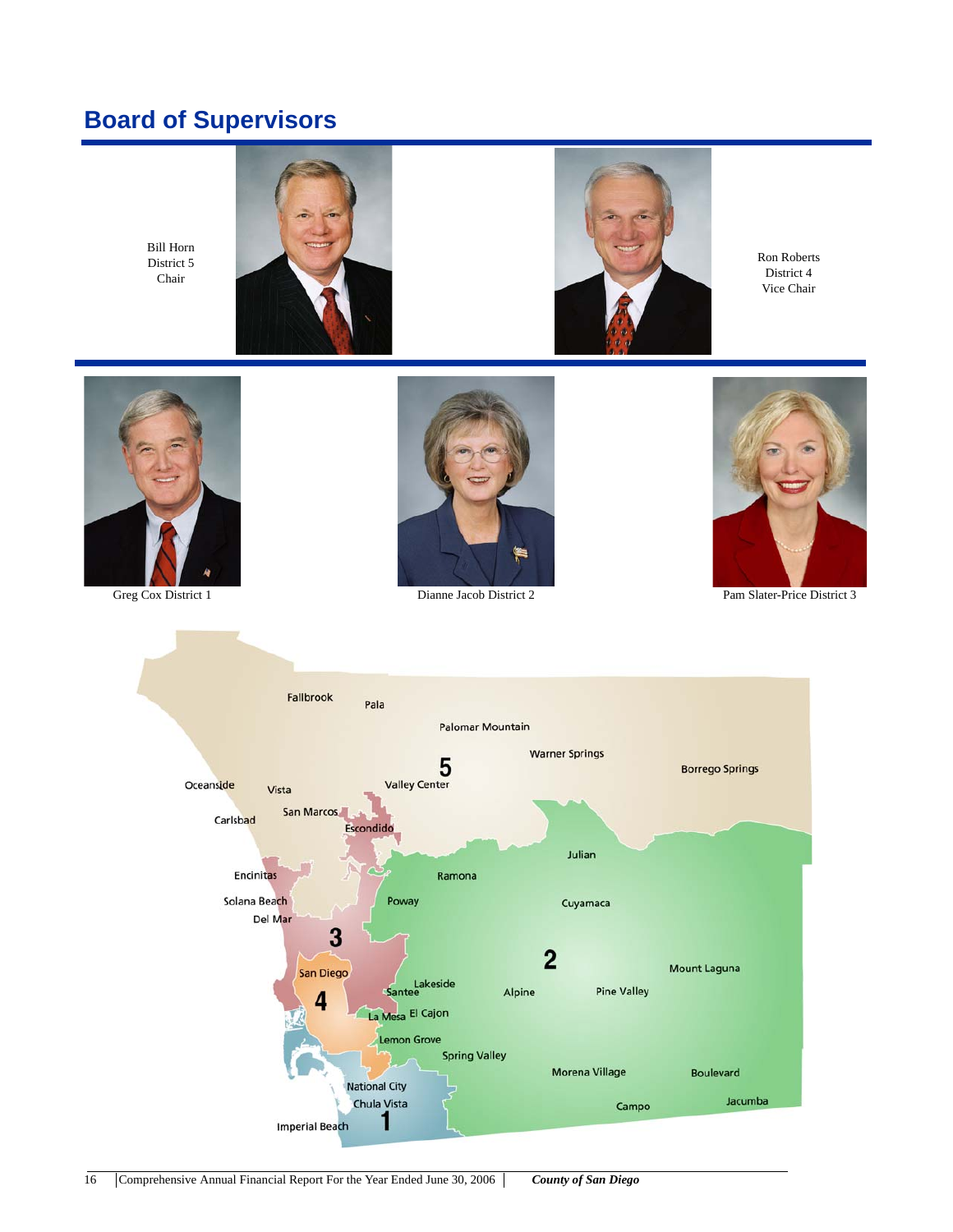# **Board of Supervisors**

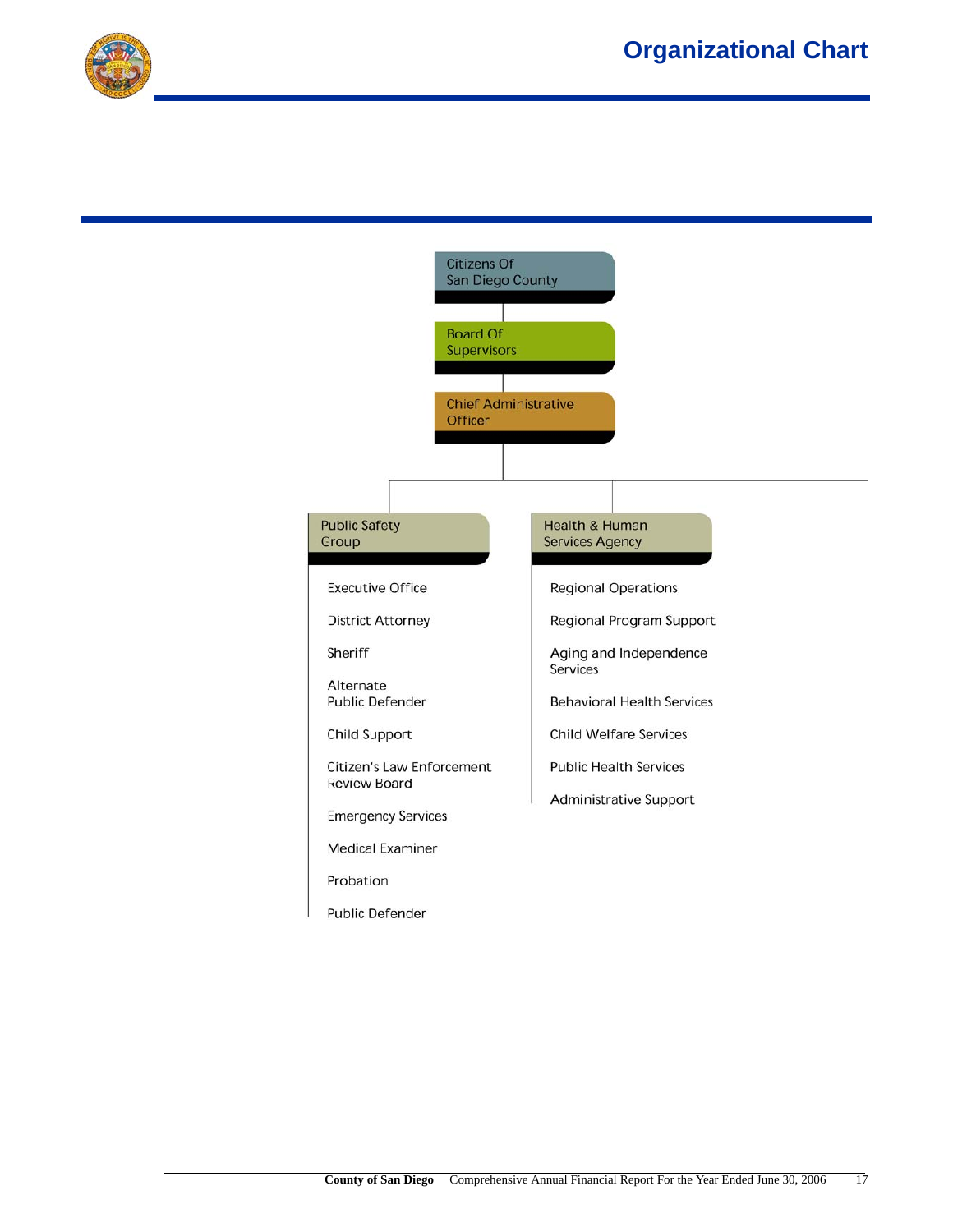

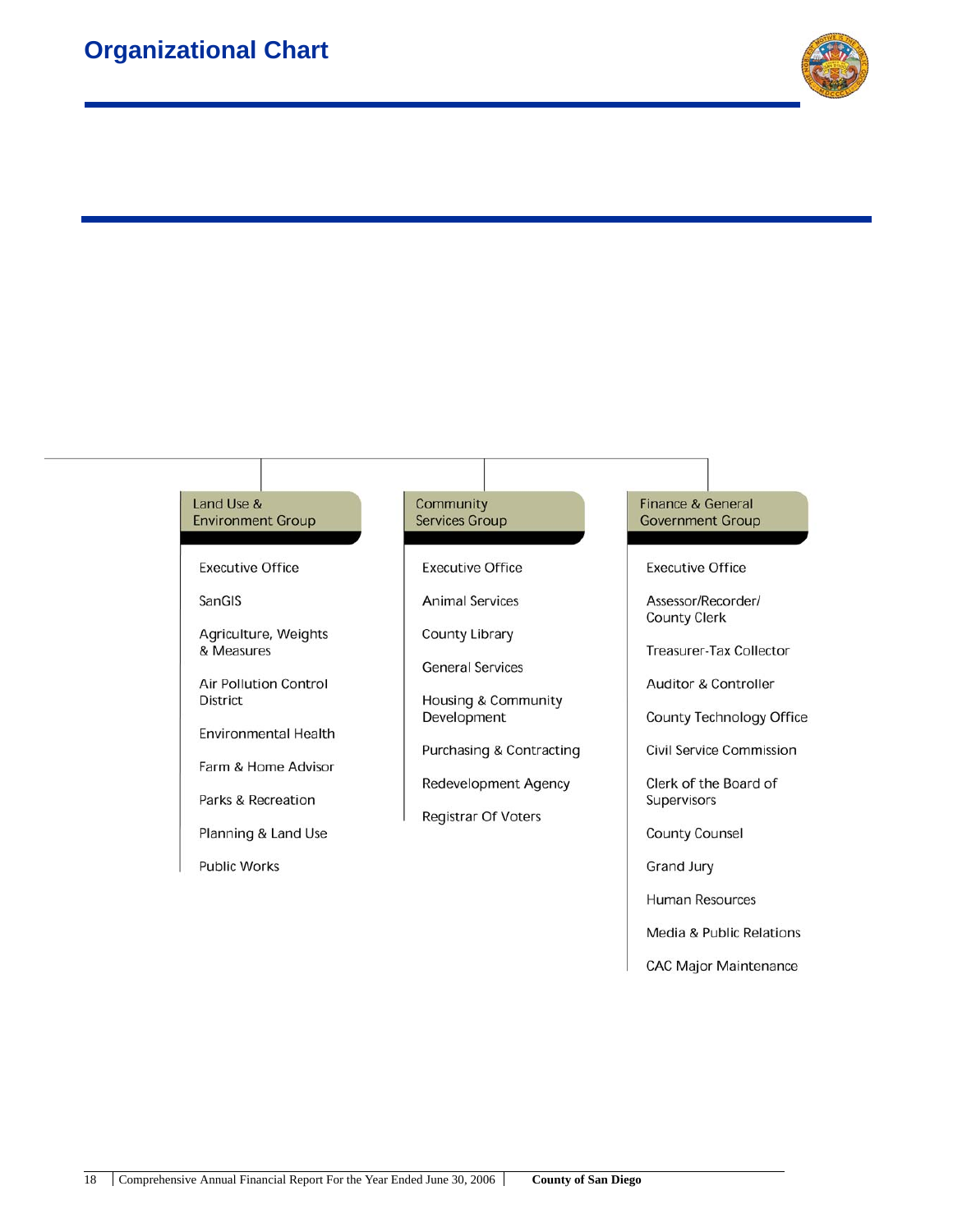

### Land Use & **Environment Group**

**Executive Office** 

SanGIS

Agriculture, Weights & Measures

Air Pollution Control **District** 

**Environmental Health** 

Farm & Home Advisor

Parks & Recreation

Planning & Land Use

**Public Works** 

#### Community **Services Group**

**Executive Office** 

**Animal Services** 

County Library

**General Services** 

Housing & Community Development

**Purchasing & Contracting** 

**Redevelopment Agency** 

**Registrar Of Voters** 

### **Finance & General Government Group**

**Executive Office** 

Assessor/Recorder/ **County Clerk** 

**Treasurer-Tax Collector** 

Auditor & Controller

County Technology Office

**Civil Service Commission** 

Clerk of the Board of Supervisors

**County Counsel** 

**Grand Jury** 

**Human Resources** 

Media & Public Relations

**CAC Major Maintenance**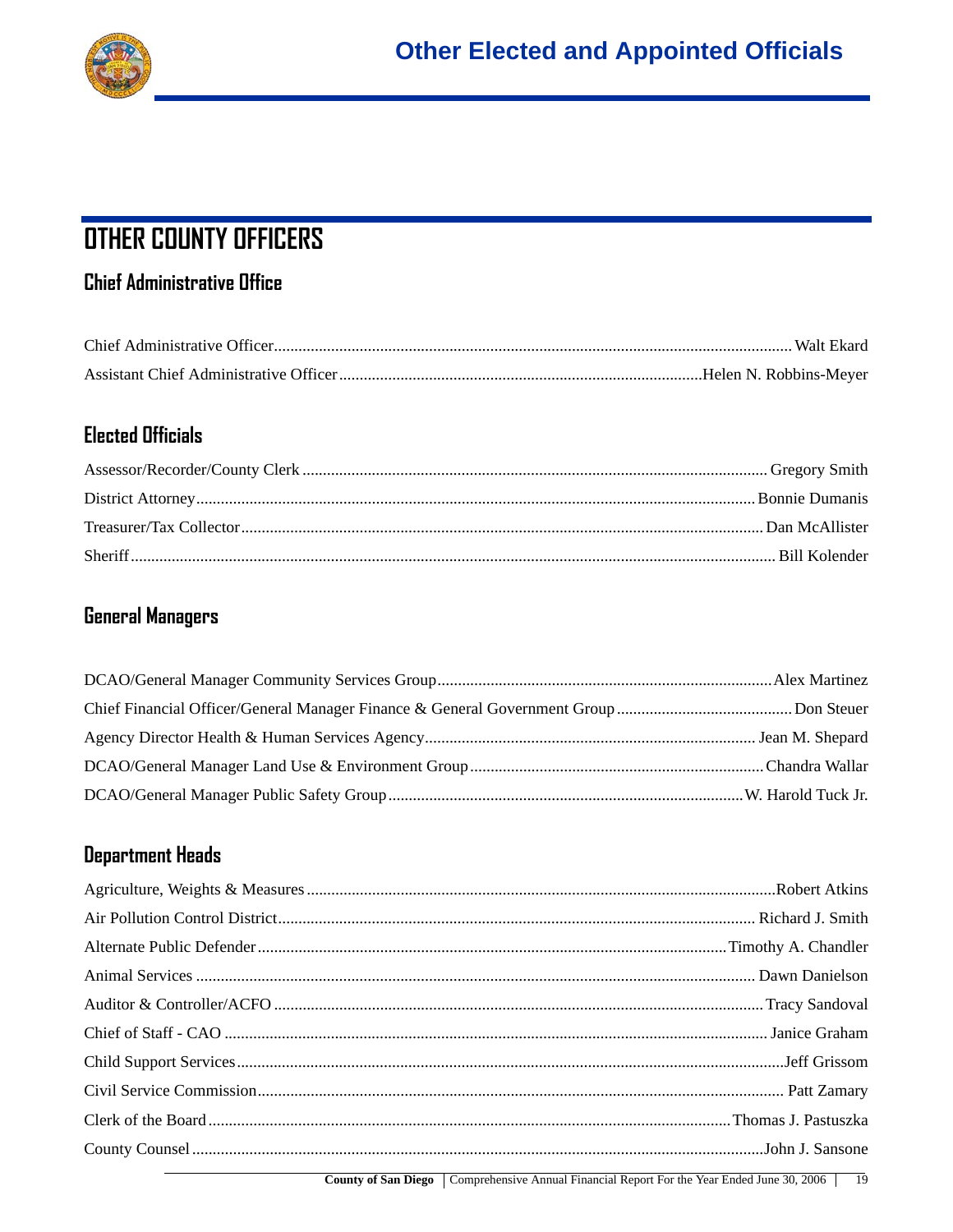

# **OTHER COUNTY OFFICERS**

## **Chief Administrative Office**

### **Elected Officials**

# **General Managers**

## **Department Heads**